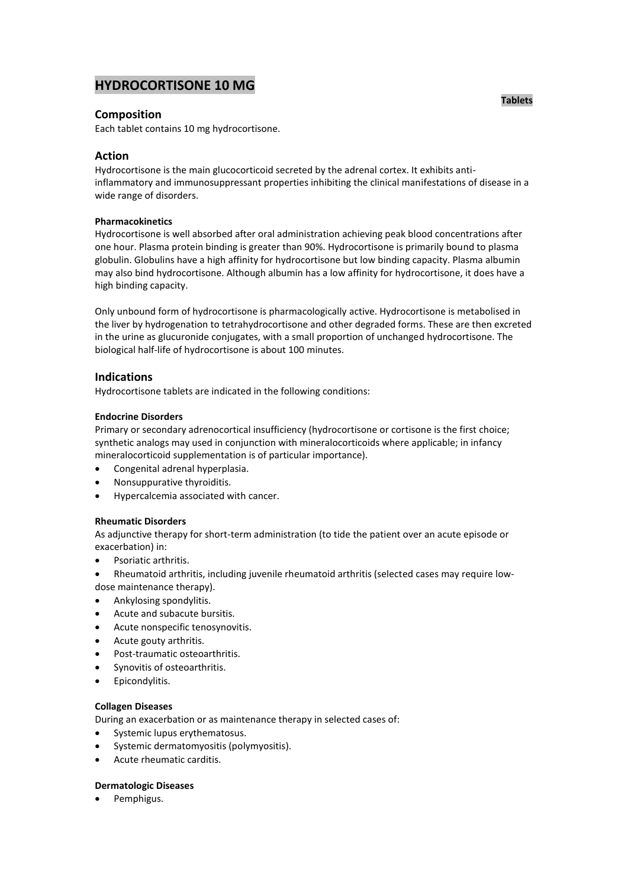# **HYDROCORTISONE 10 MG**

# **Composition**

Each tablet contains 10 mg hydrocortisone.

# **Action**

Hydrocortisone is the main glucocorticoid secreted by the adrenal cortex. It exhibits antiinflammatory and immunosuppressant properties inhibiting the clinical manifestations of disease in a wide range of disorders.

### **Pharmacokinetics**

Hydrocortisone is well absorbed after oral administration achieving peak blood concentrations after one hour. Plasma protein binding is greater than 90%. Hydrocortisone is primarily bound to plasma globulin. Globulins have a high affinity for hydrocortisone but low binding capacity. Plasma albumin may also bind hydrocortisone. Although albumin has a low affinity for hydrocortisone, it does have a high binding capacity.

Only unbound form of hydrocortisone is pharmacologically active. Hydrocortisone is metabolised in the liver by hydrogenation to tetrahydrocortisone and other degraded forms. These are then excreted in the urine as glucuronide conjugates, with a small proportion of unchanged hydrocortisone. The biological half-life of hydrocortisone is about 100 minutes.

# **Indications**

Hydrocortisone tablets are indicated in the following conditions:

# **Endocrine Disorders**

Primary or secondary adrenocortical insufficiency (hydrocortisone or cortisone is the first choice; synthetic analogs may used in conjunction with mineralocorticoids where applicable; in infancy mineralocorticoid supplementation is of particular importance).

- Congenital adrenal hyperplasia.
- Nonsuppurative thyroiditis.
- Hypercalcemia associated with cancer.

# **Rheumatic Disorders**

As adjunctive therapy for short-term administration (to tide the patient over an acute episode or exacerbation) in:

- Psoriatic arthritis.
- Rheumatoid arthritis, including juvenile rheumatoid arthritis (selected cases may require low-
- dose maintenance therapy).
- Ankylosing spondylitis.
- Acute and subacute bursitis.
- Acute nonspecific tenosynovitis.
- Acute gouty arthritis.
- Post-traumatic osteoarthritis.
- Synovitis of osteoarthritis.
- Epicondylitis.

### **Collagen Diseases**

During an exacerbation or as maintenance therapy in selected cases of:

- Systemic lupus erythematosus.
- Systemic dermatomyositis (polymyositis).
- Acute rheumatic carditis.

### **Dermatologic Diseases**

Pemphigus.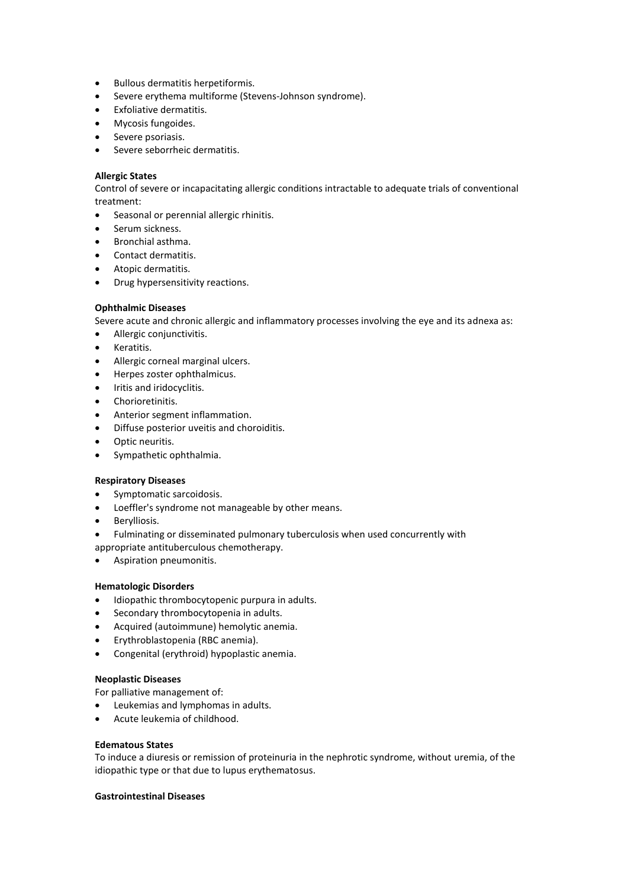- Bullous dermatitis herpetiformis.
- Severe erythema multiforme (Stevens-Johnson syndrome).
- Exfoliative dermatitis.
- Mycosis fungoides.
- Severe psoriasis.
- Severe seborrheic dermatitis.

# **Allergic States**

Control of severe or incapacitating allergic conditions intractable to adequate trials of conventional treatment:

- Seasonal or perennial allergic rhinitis.
- Serum sickness.
- Bronchial asthma.
- Contact dermatitis.
- Atopic dermatitis.
- Drug hypersensitivity reactions.

# **Ophthalmic Diseases**

Severe acute and chronic allergic and inflammatory processes involving the eye and its adnexa as:

- Allergic conjunctivitis.
- Keratitis.
- Allergic corneal marginal ulcers.
- Herpes zoster ophthalmicus.
- Iritis and iridocyclitis.
- Chorioretinitis.
- Anterior segment inflammation.
- Diffuse posterior uveitis and choroiditis.
- Optic neuritis.
- Sympathetic ophthalmia.

# **Respiratory Diseases**

- Symptomatic sarcoidosis.
- Loeffler's syndrome not manageable by other means.
- **•** Berylliosis.
- Fulminating or disseminated pulmonary tuberculosis when used concurrently with
- appropriate antituberculous chemotherapy.
- Aspiration pneumonitis.

# **Hematologic Disorders**

- $\bullet$  Idiopathic thrombocytopenic purpura in adults.
- Secondary thrombocytopenia in adults.
- Acquired (autoimmune) hemolytic anemia.
- Erythroblastopenia (RBC anemia).
- Congenital (erythroid) hypoplastic anemia.

# **Neoplastic Diseases**

For palliative management of:

- Leukemias and lymphomas in adults.
- Acute leukemia of childhood.

# **Edematous States**

To induce a diuresis or remission of proteinuria in the nephrotic syndrome, without uremia, of the idiopathic type or that due to lupus erythematosus.

# **Gastrointestinal Diseases**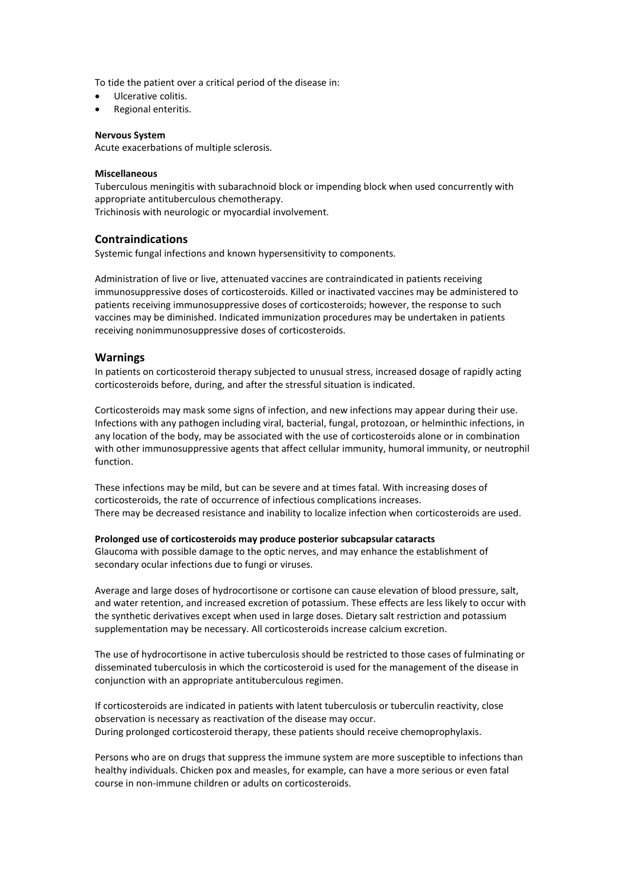To tide the patient over a critical period of the disease in:

- Ulcerative colitis.
- Regional enteritis.

#### **Nervous System**

Acute exacerbations of multiple sclerosis.

#### **Miscellaneous**

Tuberculous meningitis with subarachnoid block or impending block when used concurrently with appropriate antituberculous chemotherapy.

Trichinosis with neurologic or myocardial involvement.

### **Contraindications**

Systemic fungal infections and known hypersensitivity to components.

Administration of live or live, attenuated vaccines are contraindicated in patients receiving immunosuppressive doses of corticosteroids. Killed or inactivated vaccines may be administered to patients receiving immunosuppressive doses of corticosteroids; however, the response to such vaccines may be diminished. Indicated immunization procedures may be undertaken in patients receiving nonimmunosuppressive doses of corticosteroids.

### **Warnings**

In patients on corticosteroid therapy subjected to unusual stress, increased dosage of rapidly acting corticosteroids before, during, and after the stressful situation is indicated.

Corticosteroids may mask some signs of infection, and new infections may appear during their use. Infections with any pathogen including viral, bacterial, fungal, protozoan, or helminthic infections, in any location of the body, may be associated with the use of corticosteroids alone or in combination with other immunosuppressive agents that affect cellular immunity, humoral immunity, or neutrophil function.

These infections may be mild, but can be severe and at times fatal. With increasing doses of corticosteroids, the rate of occurrence of infectious complications increases. There may be decreased resistance and inability to localize infection when corticosteroids are used.

### **Prolonged use of corticosteroids may produce posterior subcapsular cataracts**

Glaucoma with possible damage to the optic nerves, and may enhance the establishment of secondary ocular infections due to fungi or viruses.

Average and large doses of hydrocortisone or cortisone can cause elevation of blood pressure, salt, and water retention, and increased excretion of potassium. These effects are less likely to occur with the synthetic derivatives except when used in large doses. Dietary salt restriction and potassium supplementation may be necessary. All corticosteroids increase calcium excretion.

The use of hydrocortisone in active tuberculosis should be restricted to those cases of fulminating or disseminated tuberculosis in which the corticosteroid is used for the management of the disease in conjunction with an appropriate antituberculous regimen.

If corticosteroids are indicated in patients with latent tuberculosis or tuberculin reactivity, close observation is necessary as reactivation of the disease may occur. During prolonged corticosteroid therapy, these patients should receive chemoprophylaxis.

Persons who are on drugs that suppress the immune system are more susceptible to infections than healthy individuals. Chicken pox and measles, for example, can have a more serious or even fatal course in non-immune children or adults on corticosteroids.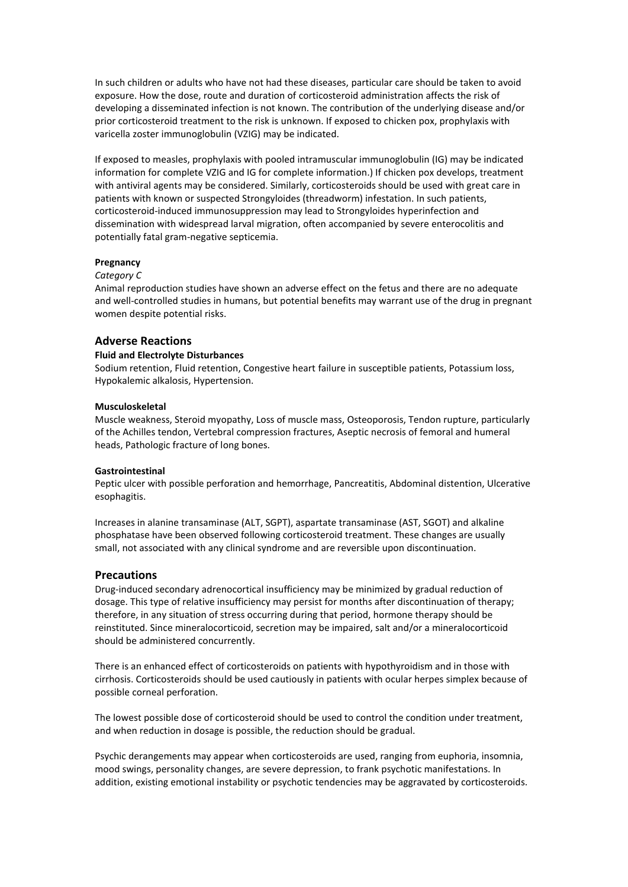In such children or adults who have not had these diseases, particular care should be taken to avoid exposure. How the dose, route and duration of corticosteroid administration affects the risk of developing a disseminated infection is not known. The contribution of the underlying disease and/or prior corticosteroid treatment to the risk is unknown. If exposed to chicken pox, prophylaxis with varicella zoster immunoglobulin (VZIG) may be indicated.

If exposed to measles, prophylaxis with pooled intramuscular immunoglobulin (IG) may be indicated information for complete VZIG and IG for complete information.) If chicken pox develops, treatment with antiviral agents may be considered. Similarly, corticosteroids should be used with great care in patients with known or suspected Strongyloides (threadworm) infestation. In such patients, corticosteroid-induced immunosuppression may lead to Strongyloides hyperinfection and dissemination with widespread larval migration, often accompanied by severe enterocolitis and potentially fatal gram-negative septicemia.

### **Pregnancy**

### *Category C*

Animal reproduction studies have shown an adverse effect on the fetus and there are no adequate and well-controlled studies in humans, but potential benefits may warrant use of the drug in pregnant women despite potential risks.

# **Adverse Reactions**

#### **Fluid and Electrolyte Disturbances**

Sodium retention, Fluid retention, Congestive heart failure in susceptible patients, Potassium loss, Hypokalemic alkalosis, Hypertension.

#### **Musculoskeletal**

Muscle weakness, Steroid myopathy, Loss of muscle mass, Osteoporosis, Tendon rupture, particularly of the Achilles tendon, Vertebral compression fractures, Aseptic necrosis of femoral and humeral heads, Pathologic fracture of long bones.

#### **Gastrointestinal**

Peptic ulcer with possible perforation and hemorrhage, Pancreatitis, Abdominal distention, Ulcerative esophagitis.

Increases in alanine transaminase (ALT, SGPT), aspartate transaminase (AST, SGOT) and alkaline phosphatase have been observed following corticosteroid treatment. These changes are usually small, not associated with any clinical syndrome and are reversible upon discontinuation.

# **Precautions**

Drug-induced secondary adrenocortical insufficiency may be minimized by gradual reduction of dosage. This type of relative insufficiency may persist for months after discontinuation of therapy; therefore, in any situation of stress occurring during that period, hormone therapy should be reinstituted. Since mineralocorticoid, secretion may be impaired, salt and/or a mineralocorticoid should be administered concurrently.

There is an enhanced effect of corticosteroids on patients with hypothyroidism and in those with cirrhosis. Corticosteroids should be used cautiously in patients with ocular herpes simplex because of possible corneal perforation.

The lowest possible dose of corticosteroid should be used to control the condition under treatment, and when reduction in dosage is possible, the reduction should be gradual.

Psychic derangements may appear when corticosteroids are used, ranging from euphoria, insomnia, mood swings, personality changes, are severe depression, to frank psychotic manifestations. In addition, existing emotional instability or psychotic tendencies may be aggravated by corticosteroids.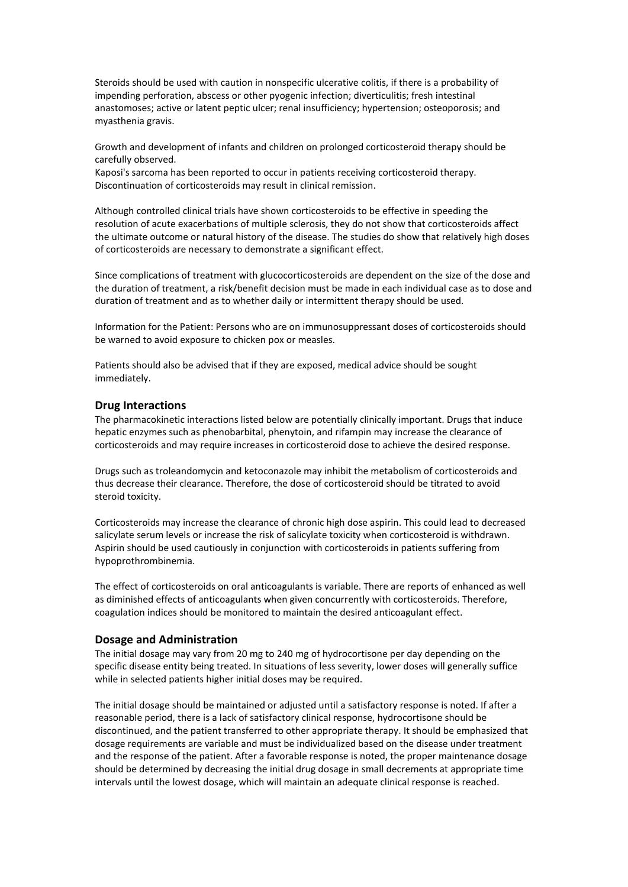Steroids should be used with caution in nonspecific ulcerative colitis, if there is a probability of impending perforation, abscess or other pyogenic infection; diverticulitis; fresh intestinal anastomoses; active or latent peptic ulcer; renal insufficiency; hypertension; osteoporosis; and myasthenia gravis.

Growth and development of infants and children on prolonged corticosteroid therapy should be carefully observed.

Kaposi's sarcoma has been reported to occur in patients receiving corticosteroid therapy. Discontinuation of corticosteroids may result in clinical remission.

Although controlled clinical trials have shown corticosteroids to be effective in speeding the resolution of acute exacerbations of multiple sclerosis, they do not show that corticosteroids affect the ultimate outcome or natural history of the disease. The studies do show that relatively high doses of corticosteroids are necessary to demonstrate a significant effect.

Since complications of treatment with glucocorticosteroids are dependent on the size of the dose and the duration of treatment, a risk/benefit decision must be made in each individual case as to dose and duration of treatment and as to whether daily or intermittent therapy should be used.

Information for the Patient: Persons who are on immunosuppressant doses of corticosteroids should be warned to avoid exposure to chicken pox or measles.

Patients should also be advised that if they are exposed, medical advice should be sought immediately.

### **Drug Interactions**

The pharmacokinetic interactions listed below are potentially clinically important. Drugs that induce hepatic enzymes such as phenobarbital, phenytoin, and rifampin may increase the clearance of corticosteroids and may require increases in corticosteroid dose to achieve the desired response.

Drugs such as troleandomycin and ketoconazole may inhibit the metabolism of corticosteroids and thus decrease their clearance. Therefore, the dose of corticosteroid should be titrated to avoid steroid toxicity.

Corticosteroids may increase the clearance of chronic high dose aspirin. This could lead to decreased salicylate serum levels or increase the risk of salicylate toxicity when corticosteroid is withdrawn. Aspirin should be used cautiously in conjunction with corticosteroids in patients suffering from hypoprothrombinemia.

The effect of corticosteroids on oral anticoagulants is variable. There are reports of enhanced as well as diminished effects of anticoagulants when given concurrently with corticosteroids. Therefore, coagulation indices should be monitored to maintain the desired anticoagulant effect.

### **Dosage and Administration**

The initial dosage may vary from 20 mg to 240 mg of hydrocortisone per day depending on the specific disease entity being treated. In situations of less severity, lower doses will generally suffice while in selected patients higher initial doses may be required.

The initial dosage should be maintained or adjusted until a satisfactory response is noted. If after a reasonable period, there is a lack of satisfactory clinical response, hydrocortisone should be discontinued, and the patient transferred to other appropriate therapy. It should be emphasized that dosage requirements are variable and must be individualized based on the disease under treatment and the response of the patient. After a favorable response is noted, the proper maintenance dosage should be determined by decreasing the initial drug dosage in small decrements at appropriate time intervals until the lowest dosage, which will maintain an adequate clinical response is reached.